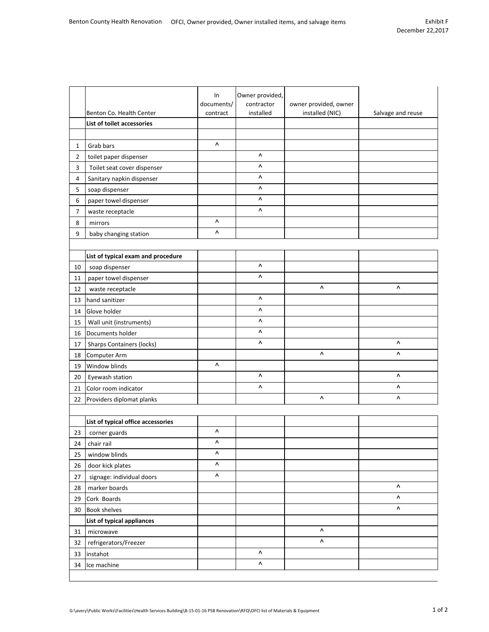|                |                                    | In<br>documents/ | Owner provided,<br>contractor | owner provided, owner |                   |
|----------------|------------------------------------|------------------|-------------------------------|-----------------------|-------------------|
|                | Benton Co. Health Center           | contract         | installed                     | installed (NIC)       | Salvage and reuse |
|                | List of toilet accessories         |                  |                               |                       |                   |
|                |                                    |                  |                               |                       |                   |
| 1              | Grab bars                          | Λ                |                               |                       |                   |
| $\overline{2}$ | toilet paper dispenser             |                  | Λ                             |                       |                   |
| 3              | Toilet seat cover dispenser        |                  | ۸                             |                       |                   |
| 4              | Sanitary napkin dispenser          |                  | Λ                             |                       |                   |
| 5              | soap dispenser                     |                  | ۸                             |                       |                   |
| 6              | paper towel dispenser              |                  | ۸                             |                       |                   |
| 7              | waste receptacle                   |                  | ۸                             |                       |                   |
| 8              | mirrors                            | ۸                |                               |                       |                   |
| 9              | baby changing station              | Λ                |                               |                       |                   |
|                |                                    |                  |                               |                       |                   |
|                | List of typical exam and procedure |                  |                               |                       |                   |
| 10             | soap dispenser                     |                  | Λ                             |                       |                   |
| 11             | paper towel dispenser              |                  | Λ                             |                       |                   |
| 12             | waste receptacle                   |                  |                               | ٨                     | ۸                 |
| 13             | hand sanitizer                     |                  | ۸                             |                       |                   |
| 14             | Glove holder                       |                  | ۸                             |                       |                   |
| 15             | Wall unit (instruments)            |                  | Λ                             |                       |                   |
| 16             | Documents holder                   |                  | ۸                             |                       |                   |
| 17             | <b>Sharps Containers (locks)</b>   |                  | ۸                             |                       | ۸                 |
| 18             | Computer Arm                       |                  |                               | Λ                     | Λ                 |
| 19             | Window blinds                      | ۸                |                               |                       |                   |
| 20             | Eyewash station                    |                  | Λ                             |                       | Λ                 |
| 21             | Color room indicator               |                  | Λ                             |                       | ۸                 |
| 22             | Providers diplomat planks          |                  |                               | ٨                     | ٨                 |
|                |                                    |                  |                               |                       |                   |
|                | List of typical office accessories |                  |                               |                       |                   |
| 23             | corner guards                      | ٨                |                               |                       |                   |
| 24             | chair rail                         | Λ                |                               |                       |                   |
| 25             | window blinds                      | ٨                |                               |                       |                   |
| 26             | door kick plates                   | ٨                |                               |                       |                   |
| 27             | signage: individual doors          | ۸                |                               |                       |                   |
| 28             | marker boards                      |                  |                               |                       | ۸                 |
| 29             | Cork Boards                        |                  |                               |                       | Λ                 |
| 30             | <b>Book shelves</b>                |                  |                               |                       | ۸                 |
|                | List of typical appliances         |                  |                               |                       |                   |
| 31             | microwave                          |                  |                               | ۸                     |                   |
| 32             | refrigerators/Freezer              |                  |                               | Λ                     |                   |
| 33             | instahot                           |                  | Λ                             |                       |                   |
| 34             | Ice machine                        |                  | $\boldsymbol{\wedge}$         |                       |                   |
|                |                                    |                  |                               |                       |                   |